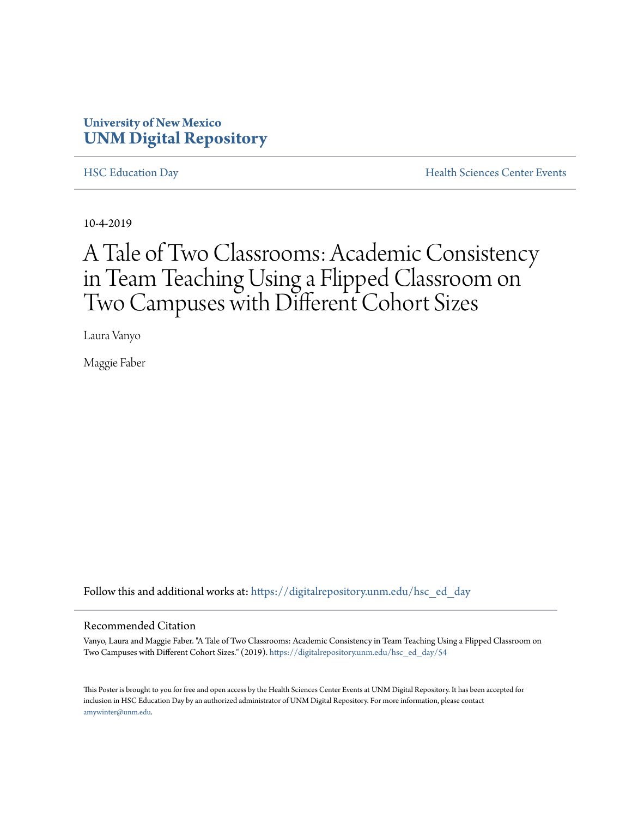#### **University of New Mexico [UNM Digital Repository](https://digitalrepository.unm.edu/?utm_source=digitalrepository.unm.edu%2Fhsc_ed_day%2F54&utm_medium=PDF&utm_campaign=PDFCoverPages)**

[HSC Education Day](https://digitalrepository.unm.edu/hsc_ed_day?utm_source=digitalrepository.unm.edu%2Fhsc_ed_day%2F54&utm_medium=PDF&utm_campaign=PDFCoverPages) [Health Sciences Center Events](https://digitalrepository.unm.edu/hsc_events?utm_source=digitalrepository.unm.edu%2Fhsc_ed_day%2F54&utm_medium=PDF&utm_campaign=PDFCoverPages)

10-4-2019

#### A Tale of Two Classrooms: Academic Consistency in Team Teaching Using a Flipped Classroom on Two Campuses with Different Cohort Sizes

Laura Vanyo

Maggie Faber

Follow this and additional works at: [https://digitalrepository.unm.edu/hsc\\_ed\\_day](https://digitalrepository.unm.edu/hsc_ed_day?utm_source=digitalrepository.unm.edu%2Fhsc_ed_day%2F54&utm_medium=PDF&utm_campaign=PDFCoverPages)

#### Recommended Citation

Vanyo, Laura and Maggie Faber. "A Tale of Two Classrooms: Academic Consistency in Team Teaching Using a Flipped Classroom on Two Campuses with Different Cohort Sizes." (2019). [https://digitalrepository.unm.edu/hsc\\_ed\\_day/54](https://digitalrepository.unm.edu/hsc_ed_day/54?utm_source=digitalrepository.unm.edu%2Fhsc_ed_day%2F54&utm_medium=PDF&utm_campaign=PDFCoverPages)

This Poster is brought to you for free and open access by the Health Sciences Center Events at UNM Digital Repository. It has been accepted for inclusion in HSC Education Day by an authorized administrator of UNM Digital Repository. For more information, please contact [amywinter@unm.edu](mailto:amywinter@unm.edu).